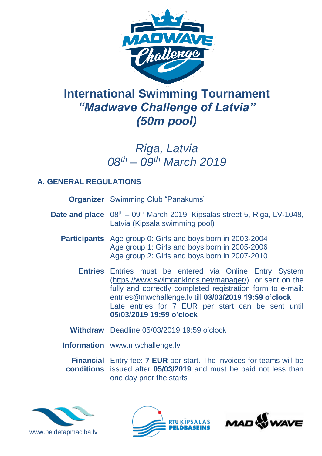

# **International Swimming Tournament** *"Madwave Challenge of Latvia" (50m pool)*

## *Riga, Latvia 08 th – 09th March 2019*

### **A. GENERAL REGULATIONS**

| <b>Organizer</b> Swimming Club "Panakums"                                                                                                                                                                                                                                                                                        |  |  |
|----------------------------------------------------------------------------------------------------------------------------------------------------------------------------------------------------------------------------------------------------------------------------------------------------------------------------------|--|--|
| <b>Date and place</b> $08th - 09th$ March 2019, Kipsalas street 5, Riga, LV-1048,<br>Latvia (Kipsala swimming pool)                                                                                                                                                                                                              |  |  |
| <b>Participants</b> Age group 0: Girls and boys born in 2003-2004<br>Age group 1: Girls and boys born in 2005-2006<br>Age group 2: Girls and boys born in 2007-2010                                                                                                                                                              |  |  |
| <b>Entries</b> Entries must be entered via Online Entry System<br>(https://www.swimrankings.net/manager/) or sent on the<br>fully and correctly completed registration form to e-mail:<br>entries@mwchallenge.lv till 03/03/2019 19:59 o'clock<br>Late entries for 7 EUR per start can be sent until<br>05/03/2019 19:59 o'clock |  |  |
| Withdraw Deadline 05/03/2019 19:59 o'clock                                                                                                                                                                                                                                                                                       |  |  |
| <b>Information</b> www.mwchallenge.lv                                                                                                                                                                                                                                                                                            |  |  |

**Financial**  Entry fee: **7 EUR** per start. The invoices for teams will be **conditions** issued after **05/03/2019** and must be paid not less than one day prior the starts





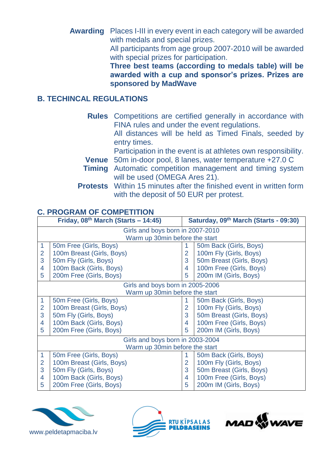**Awarding** Places I-III in every event in each category will be awarded with medals and special prizes.

> All participants from age group 2007-2010 will be awarded with special prizes for participation.

> **Three best teams (according to medals table) will be awarded with a cup and sponsor's prizes. Prizes are sponsored by MadWave**

#### **B. TECHINCAL REGULATIONS**

| <b>Rules</b> Competitions are certified generally in accordance with<br>FINA rules and under the event regulations.<br>All distances will be held as Timed Finals, seeded by<br>entry times. |  |  |
|----------------------------------------------------------------------------------------------------------------------------------------------------------------------------------------------|--|--|
| Participation in the event is at athletes own responsibility.                                                                                                                                |  |  |
| <b>Venue</b> 50m in-door pool, 8 lanes, water temperature +27.0 C                                                                                                                            |  |  |
| <b>Timing</b> Automatic competition management and timing system                                                                                                                             |  |  |
| will be used (OMEGA Ares 21).                                                                                                                                                                |  |  |
| <b>Protests</b> Within 15 minutes after the finished event in written form                                                                                                                   |  |  |
| with the deposit of 50 EUR per protest.                                                                                                                                                      |  |  |

### **C. PROGRAM OF COMPETITION**

| Friday, $08th$ March (Starts – 14:45)       |                           |   | Saturday, 09th March (Starts - 09:30) |  |  |
|---------------------------------------------|---------------------------|---|---------------------------------------|--|--|
| Girls and boys born in 2007-2010            |                           |   |                                       |  |  |
| Warm up 30min before the start              |                           |   |                                       |  |  |
| $\mathbf{1}$                                | 50m Free (Girls, Boys)    |   | 50m Back (Girls, Boys)                |  |  |
| $\overline{2}$<br>100m Breast (Girls, Boys) |                           | 2 | 100m Fly (Girls, Boys)                |  |  |
| 3<br>50m Fly (Girls, Boys)                  |                           | 3 | 50m Breast (Girls, Boys)              |  |  |
| 100m Back (Girls, Boys)<br>4                |                           | 4 | 100m Free (Girls, Boys)               |  |  |
| 5                                           | 200m Free (Girls, Boys)   | 5 | 200m IM (Girls, Boys)                 |  |  |
| Girls and boys born in 2005-2006            |                           |   |                                       |  |  |
| Warm up 30min before the start              |                           |   |                                       |  |  |
| $\mathbf{1}$                                | 50m Free (Girls, Boys)    |   | 50m Back (Girls, Boys)                |  |  |
| $\overline{2}$                              | 100m Breast (Girls, Boys) | 2 | 100m Fly (Girls, Boys)                |  |  |
| 3<br>50m Fly (Girls, Boys)                  |                           | 3 | 50m Breast (Girls, Boys)              |  |  |
| 100m Back (Girls, Boys)<br>4                |                           | 4 | 100m Free (Girls, Boys)               |  |  |
| 5                                           | 200m Free (Girls, Boys)   | 5 | 200m IM (Girls, Boys)                 |  |  |
| Girls and boys born in 2003-2004            |                           |   |                                       |  |  |
| Warm up 30min before the start              |                           |   |                                       |  |  |
| $\mathbf 1$                                 | 50m Free (Girls, Boys)    |   | 50m Back (Girls, Boys)                |  |  |
| 100m Breast (Girls, Boys)<br>$\overline{2}$ |                           | 2 | 100m Fly (Girls, Boys)                |  |  |
| 3<br>50m Fly (Girls, Boys)                  |                           | 3 | 50m Breast (Girls, Boys)              |  |  |
| 100m Back (Girls, Boys)<br>4                |                           | 4 | 100m Free (Girls, Boys)               |  |  |
| 5<br>200m Free (Girls, Boys)                |                           | 5 | 200m IM (Girls, Boys)                 |  |  |